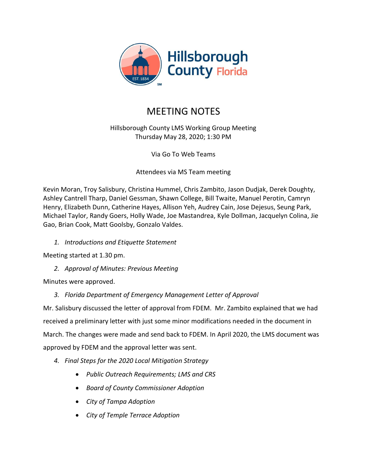

# MEETING NOTES

# Hillsborough County LMS Working Group Meeting Thursday May 28, 2020; 1:30 PM

Via Go To Web Teams

Attendees via MS Team meeting

Kevin Moran, Troy Salisbury, Christina Hummel, Chris Zambito, Jason Dudjak, Derek Doughty, Ashley Cantrell Tharp, Daniel Gessman, Shawn College, Bill Twaite, Manuel Perotin, Camryn Henry, Elizabeth Dunn, Catherine Hayes, Allison Yeh, Audrey Cain, Jose Dejesus, Seung Park, Michael Taylor, Randy Goers, Holly Wade, Joe Mastandrea, Kyle Dollman, Jacquelyn Colina, Jie Gao, Brian Cook, Matt Goolsby, Gonzalo Valdes.

*1. Introductions and Etiquette Statement*

Meeting started at 1.30 pm.

*2. Approval of Minutes: Previous Meeting*

Minutes were approved.

*3. Florida Department of Emergency Management Letter of Approval*

Mr. Salisbury discussed the letter of approval from FDEM. Mr. Zambito explained that we had received a preliminary letter with just some minor modifications needed in the document in March. The changes were made and send back to FDEM. In April 2020, the LMS document was approved by FDEM and the approval letter was sent.

- *4. Final Steps for the 2020 Local Mitigation Strategy*
	- *Public Outreach Requirements; LMS and CRS*
	- *Board of County Commissioner Adoption*
	- *City of Tampa Adoption*
	- *City of Temple Terrace Adoption*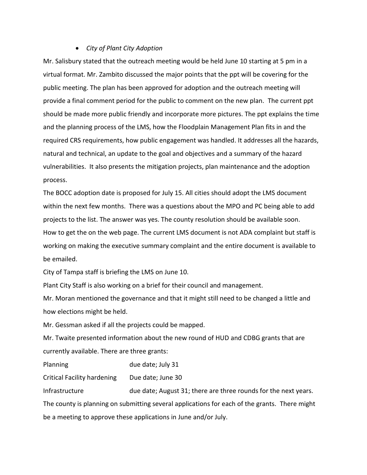#### • *City of Plant City Adoption*

Mr. Salisbury stated that the outreach meeting would be held June 10 starting at 5 pm in a virtual format. Mr. Zambito discussed the major points that the ppt will be covering for the public meeting. The plan has been approved for adoption and the outreach meeting will provide a final comment period for the public to comment on the new plan. The current ppt should be made more public friendly and incorporate more pictures. The ppt explains the time and the planning process of the LMS, how the Floodplain Management Plan fits in and the required CRS requirements, how public engagement was handled. It addresses all the hazards, natural and technical, an update to the goal and objectives and a summary of the hazard vulnerabilities. It also presents the mitigation projects, plan maintenance and the adoption process.

The BOCC adoption date is proposed for July 15. All cities should adopt the LMS document within the next few months. There was a questions about the MPO and PC being able to add projects to the list. The answer was yes. The county resolution should be available soon. How to get the on the web page. The current LMS document is not ADA complaint but staff is working on making the executive summary complaint and the entire document is available to be emailed.

City of Tampa staff is briefing the LMS on June 10.

Plant City Staff is also working on a brief for their council and management.

Mr. Moran mentioned the governance and that it might still need to be changed a little and how elections might be held.

Mr. Gessman asked if all the projects could be mapped.

Mr. Twaite presented information about the new round of HUD and CDBG grants that are currently available. There are three grants:

Planning due date; July 31

Critical Facility hardening Due date; June 30

Infrastructure due date; August 31; there are three rounds for the next years. The county is planning on submitting several applications for each of the grants. There might be a meeting to approve these applications in June and/or July.